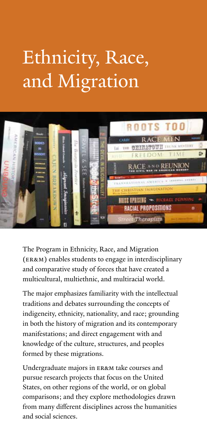## Ethnicity, Race, and Migration



The Program in Ethnicity, Race, and Migration (ER&M) enables students to engage in interdisciplinary and comparative study of forces that have created a multicultural, multiethnic, and multiracial world.

The major emphasizes familiarity with the intellectual traditions and debates surrounding the concepts of indigeneity, ethnicity, nationality, and race; grounding in both the history of migration and its contemporary manifestations; and direct engagement with and knowledge of the culture, structures, and peoples formed by these migrations.

Undergraduate majors in ER&M take courses and pursue research projects that focus on the United States, on other regions of the world, or on global comparisons; and they explore methodologies drawn from many different disciplines across the humanities and social sciences.